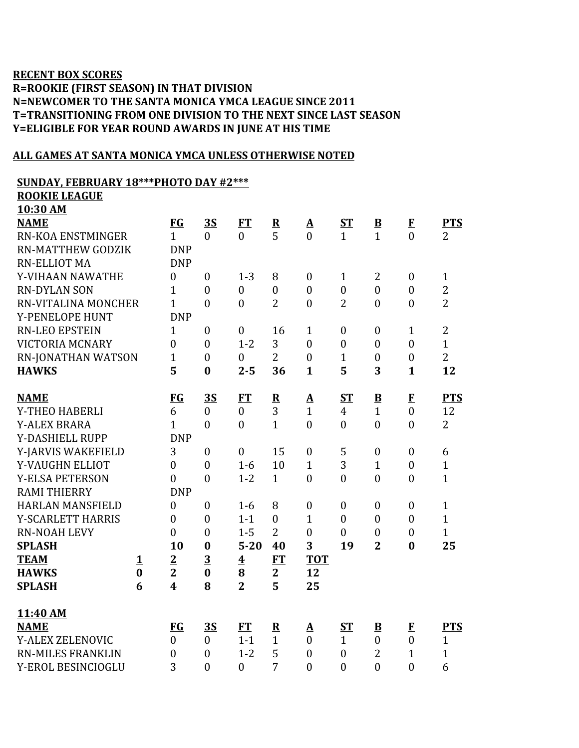## **RECENT BOX SCORES R=ROOKIE (FIRST SEASON) IN THAT DIVISION N=NEWCOMER TO THE SANTA MONICA YMCA LEAGUE SINCE 2011 T=TRANSITIONING FROM ONE DIVISION TO THE NEXT SINCE LAST SEASON Y=ELIGIBLE FOR YEAR ROUND AWARDS IN JUNE AT HIS TIME**

## **ALL GAMES AT SANTA MONICA YMCA UNLESS OTHERWISE NOTED**

## **SUNDAY, FEBRUARY 18\*\*\*PHOTO DAY #2\*\*\***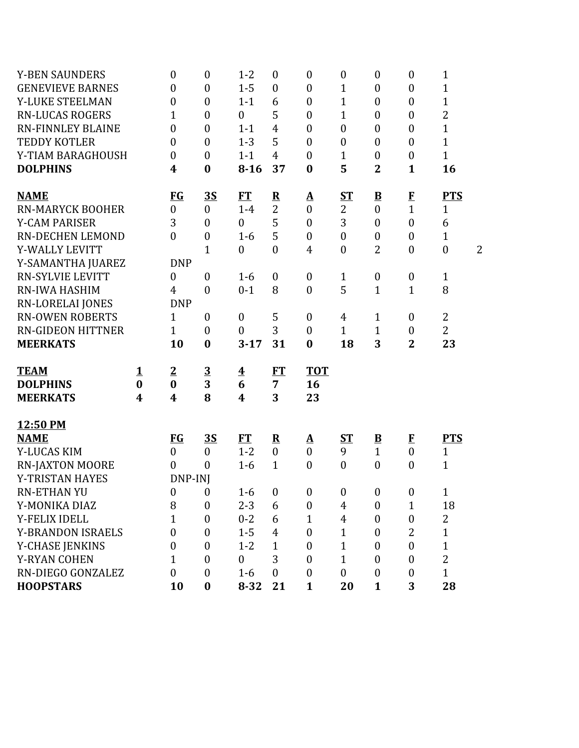| <b>Y-BEN SAUNDERS</b>    |                  | $\boldsymbol{0}$        | $\boldsymbol{0}$        | $1 - 2$                 | $\boldsymbol{0}$        | $\boldsymbol{0}$ | $\boldsymbol{0}$ | $\boldsymbol{0}$         | $\boldsymbol{0}$ | 1                |                |
|--------------------------|------------------|-------------------------|-------------------------|-------------------------|-------------------------|------------------|------------------|--------------------------|------------------|------------------|----------------|
| <b>GENEVIEVE BARNES</b>  |                  | $\overline{0}$          | $\boldsymbol{0}$        | $1 - 5$                 | $\boldsymbol{0}$        | $\boldsymbol{0}$ | $\mathbf{1}$     | $\boldsymbol{0}$         | $\boldsymbol{0}$ | 1                |                |
| Y-LUKE STEELMAN          |                  | $\boldsymbol{0}$        | $\boldsymbol{0}$        | $1 - 1$                 | 6                       | $\boldsymbol{0}$ | $\mathbf{1}$     | $\boldsymbol{0}$         | $\boldsymbol{0}$ | $\mathbf{1}$     |                |
| <b>RN-LUCAS ROGERS</b>   |                  | 1                       | $\boldsymbol{0}$        | $\boldsymbol{0}$        | 5                       | $\boldsymbol{0}$ | $\mathbf{1}$     | $\boldsymbol{0}$         | $\boldsymbol{0}$ | $\overline{c}$   |                |
| <b>RN-FINNLEY BLAINE</b> |                  | $\boldsymbol{0}$        | $\boldsymbol{0}$        | $1 - 1$                 | $\overline{4}$          | $\boldsymbol{0}$ | $\boldsymbol{0}$ | $\boldsymbol{0}$         | $\boldsymbol{0}$ | $\mathbf{1}$     |                |
| <b>TEDDY KOTLER</b>      |                  | $\boldsymbol{0}$        | $\mathbf{0}$            | $1 - 3$                 | 5                       | $\boldsymbol{0}$ | $\boldsymbol{0}$ | $\overline{0}$           | $\boldsymbol{0}$ | $\mathbf{1}$     |                |
| Y-TIAM BARAGHOUSH        |                  | $\overline{0}$          | $\boldsymbol{0}$        | $1 - 1$                 | $\overline{4}$          | $\boldsymbol{0}$ | 1                | $\boldsymbol{0}$         | $\boldsymbol{0}$ | $\mathbf{1}$     |                |
| <b>DOLPHINS</b>          |                  | 4                       | $\boldsymbol{0}$        | $8 - 16$                | 37                      | $\boldsymbol{0}$ | 5                | $\overline{2}$           | $\mathbf{1}$     | 16               |                |
| <b>NAME</b>              |                  | <b>FG</b>               | <u>35</u>               | <b>FT</b>               | $\overline{\mathbf{R}}$ | <u>A</u>         | <b>ST</b>        | $\underline{\mathbf{B}}$ | $\bf{F}$         | <b>PTS</b>       |                |
| <b>RN-MARYCK BOOHER</b>  |                  | $\boldsymbol{0}$        | $\boldsymbol{0}$        | $1-4$                   | $\overline{2}$          | $\boldsymbol{0}$ | 2                | $\boldsymbol{0}$         | $\mathbf{1}$     | $\mathbf{1}$     |                |
| <b>Y-CAM PARISER</b>     |                  | 3                       | $\overline{0}$          | $\boldsymbol{0}$        | 5                       | $\boldsymbol{0}$ | 3                | $\overline{0}$           | $\mathbf{0}$     | 6                |                |
| <b>RN-DECHEN LEMOND</b>  |                  | $\overline{0}$          | $\boldsymbol{0}$        | $1-6$                   | 5                       | $\boldsymbol{0}$ | $\boldsymbol{0}$ | $\boldsymbol{0}$         | $\boldsymbol{0}$ | $\mathbf{1}$     |                |
| Y-WALLY LEVITT           |                  |                         | $\mathbf 1$             | $\boldsymbol{0}$        | $\boldsymbol{0}$        | $\overline{4}$   | $\boldsymbol{0}$ | 2                        | $\boldsymbol{0}$ | $\boldsymbol{0}$ | $\overline{2}$ |
| Y-SAMANTHA JUAREZ        |                  | <b>DNP</b>              |                         |                         |                         |                  |                  |                          |                  |                  |                |
| <b>RN-SYLVIE LEVITT</b>  |                  | $\overline{0}$          | $\boldsymbol{0}$        | $1-6$                   | $\boldsymbol{0}$        | $\boldsymbol{0}$ | $\mathbf{1}$     | $\boldsymbol{0}$         | $\boldsymbol{0}$ | $\mathbf{1}$     |                |
| <b>RN-IWA HASHIM</b>     |                  | $\overline{4}$          | $\boldsymbol{0}$        | $0 - 1$                 | 8                       | $\boldsymbol{0}$ | 5                | $\mathbf{1}$             | $\mathbf{1}$     | 8                |                |
| <b>RN-LORELAI JONES</b>  |                  | <b>DNP</b>              |                         |                         |                         |                  |                  |                          |                  |                  |                |
| <b>RN-OWEN ROBERTS</b>   |                  | 1                       | $\boldsymbol{0}$        | $\boldsymbol{0}$        | 5                       | $\boldsymbol{0}$ | $\overline{4}$   | 1                        | $\boldsymbol{0}$ | $\overline{2}$   |                |
| <b>RN-GIDEON HITTNER</b> |                  | $\mathbf{1}$            | $\boldsymbol{0}$        | $\boldsymbol{0}$        | 3                       | $\mathbf{0}$     | $\mathbf{1}$     | $\mathbf{1}$             | $\boldsymbol{0}$ | $\overline{2}$   |                |
| <b>MEERKATS</b>          |                  | 10                      | $\boldsymbol{0}$        | $3 - 17$                | 31                      | $\bf{0}$         | 18               | 3                        | $\overline{2}$   | 23               |                |
| <b>TEAM</b>              | <u>1</u>         | $\overline{2}$          | $\overline{\mathbf{3}}$ | $\overline{\mathbf{4}}$ | ET                      | <b>TOT</b>       |                  |                          |                  |                  |                |
| <b>DOLPHINS</b>          | $\bf{0}$         | $\bf{0}$                | 3                       | 6                       | 7                       | 16               |                  |                          |                  |                  |                |
| <b>MEERKATS</b>          | $\boldsymbol{4}$ | $\overline{\mathbf{4}}$ | 8                       | 4                       | 3                       | 23               |                  |                          |                  |                  |                |
| 12:50 PM                 |                  |                         |                         |                         |                         |                  |                  |                          |                  |                  |                |
| <b>NAME</b>              |                  | <b>FG</b>               | <u>35</u>               | FT                      | ${\bf R}$               | <u>A</u>         | ST               | $\overline{\mathbf{B}}$  | $\bf{F}$         | <b>PTS</b>       |                |
| Y-LUCAS KIM              |                  | $\boldsymbol{0}$        | $\boldsymbol{0}$        | $1 - 2$                 | $\boldsymbol{0}$        | $\boldsymbol{0}$ | 9                | $\mathbf{1}$             | $\mathbf{0}$     | $\mathbf{1}$     |                |
| <b>RN-JAXTON MOORE</b>   |                  | $\overline{0}$          | $\mathbf{0}$            | $1-6$                   | $\mathbf{1}$            | $\mathbf{0}$     | $\boldsymbol{0}$ | $\boldsymbol{0}$         | $\overline{0}$   | $\mathbf{1}$     |                |
| Y-TRISTAN HAYES          |                  | DNP-INJ                 |                         |                         |                         |                  |                  |                          |                  |                  |                |
| <b>RN-ETHAN YU</b>       |                  | $\mathbf{0}$            | $\boldsymbol{0}$        | $1-6$                   | $\boldsymbol{0}$        | $\boldsymbol{0}$ | $\boldsymbol{0}$ | $\boldsymbol{0}$         | $\boldsymbol{0}$ | $\mathbf{1}$     |                |
| Y-MONIKA DIAZ            |                  | 8                       | $\boldsymbol{0}$        | $2 - 3$                 | 6                       | $\boldsymbol{0}$ | 4                | $\boldsymbol{0}$         | 1                | 18               |                |
| Y-FELIX IDELL            |                  | 1                       | $\mathbf{0}$            | $0 - 2$                 | 6                       | 1                | $\overline{4}$   | $\boldsymbol{0}$         | $\boldsymbol{0}$ | 2                |                |
| <b>Y-BRANDON ISRAELS</b> |                  | $\theta$                | $\mathbf{0}$            | $1 - 5$                 | $\overline{4}$          | $\mathbf{0}$     | $\mathbf{1}$     | $\boldsymbol{0}$         | 2                | $\mathbf{1}$     |                |
| <b>Y-CHASE JENKINS</b>   |                  | $\theta$                | $\mathbf{0}$            | $1 - 2$                 | $\mathbf{1}$            | $\mathbf{0}$     | $\mathbf{1}$     | $\boldsymbol{0}$         | $\mathbf{0}$     | $\mathbf{1}$     |                |
| Y-RYAN COHEN             |                  | 1                       | $\mathbf{0}$            | $\boldsymbol{0}$        | 3                       | $\mathbf{0}$     | $\mathbf{1}$     | $\overline{0}$           | 0                | $\overline{2}$   |                |
| RN-DIEGO GONZALEZ        |                  | $\boldsymbol{0}$        | $\mathbf{0}$            | $1 - 6$                 | $\boldsymbol{0}$        | $\boldsymbol{0}$ | $\boldsymbol{0}$ | $\boldsymbol{0}$         | 0                | $\mathbf{1}$     |                |
| <b>HOOPSTARS</b>         |                  | 10                      | $\boldsymbol{0}$        | $8 - 32$                | 21                      | $\mathbf{1}$     | 20               | $\mathbf{1}$             | 3                | 28               |                |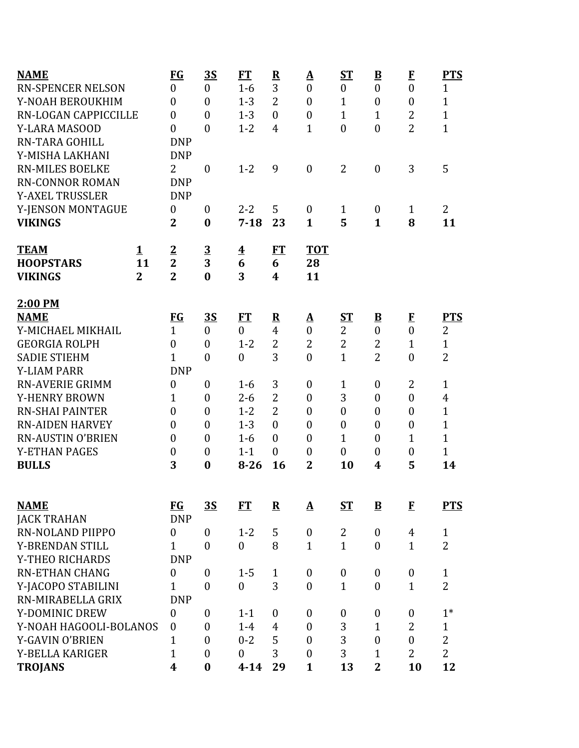| <b>NAME</b>                            | $FG$               | <u>3S</u>               | FT                      | $\overline{\mathbf{R}}$ | $\underline{\mathbf{A}}$ | $S_{\rm T}$      | $\underline{\mathbf{B}}$             | $\bf{F}$          | <b>PTS</b>     |
|----------------------------------------|--------------------|-------------------------|-------------------------|-------------------------|--------------------------|------------------|--------------------------------------|-------------------|----------------|
| <b>RN-SPENCER NELSON</b>               | $\boldsymbol{0}$   | $\boldsymbol{0}$        | $1-6$                   | 3                       | $\boldsymbol{0}$         | $\boldsymbol{0}$ | $\boldsymbol{0}$                     | $\boldsymbol{0}$  | $\mathbf{1}$   |
| Y-NOAH BEROUKHIM                       | $\overline{0}$     | $\overline{0}$          | $1 - 3$                 | $\overline{2}$          | $\mathbf{0}$             | $\mathbf{1}$     | $\boldsymbol{0}$                     | $\mathbf{0}$      | $\mathbf{1}$   |
| RN-LOGAN CAPPICCILLE                   | $\overline{0}$     | $\theta$                | $1 - 3$                 | $\theta$                | $\mathbf{0}$             | $\mathbf{1}$     | $\mathbf{1}$                         | $\overline{2}$    | $\overline{1}$ |
| <b>Y-LARA MASOOD</b>                   | $\overline{0}$     | $\overline{0}$          | $1 - 2$                 | $\overline{4}$          | $\mathbf{1}$             | $\boldsymbol{0}$ | $\boldsymbol{0}$                     | $\overline{2}$    | $\mathbf{1}$   |
| <b>RN-TARA GOHILL</b>                  | <b>DNP</b>         |                         |                         |                         |                          |                  |                                      |                   |                |
| Y-MISHA LAKHANI                        | <b>DNP</b>         |                         |                         |                         |                          |                  |                                      |                   |                |
| <b>RN-MILES BOELKE</b>                 | $\overline{2}$     | $\boldsymbol{0}$        | $1 - 2$                 | 9                       | $\boldsymbol{0}$         | $\overline{2}$   | $\boldsymbol{0}$                     | 3                 | 5              |
| <b>RN-CONNOR ROMAN</b>                 | <b>DNP</b>         |                         |                         |                         |                          |                  |                                      |                   |                |
| <b>Y-AXEL TRUSSLER</b>                 | <b>DNP</b>         |                         |                         |                         |                          |                  |                                      |                   |                |
| Y-JENSON MONTAGUE                      | $\boldsymbol{0}$   | $\boldsymbol{0}$        | $2 - 2$                 | 5                       | $\boldsymbol{0}$         | $\mathbf{1}$     | $\boldsymbol{0}$                     | $\mathbf{1}$      | $\overline{2}$ |
| <b>VIKINGS</b>                         | $\overline{2}$     | $\bf{0}$                | $7 - 18$                | 23                      | $\mathbf{1}$             | 5                | $\mathbf{1}$                         | 8                 | 11             |
| <b>TEAM</b><br>$\mathbf 1$             | $\overline{2}$     | $\overline{\mathbf{3}}$ | $\overline{\mathbf{4}}$ | ET                      | <b>TOT</b>               |                  |                                      |                   |                |
| <b>HOOPSTARS</b><br>11                 | $\overline{2}$     | 3                       | 6                       | 6                       | 28                       |                  |                                      |                   |                |
| $\overline{2}$<br><b>VIKINGS</b>       | $\overline{2}$     | $\bf{0}$                | 3                       | $\overline{\mathbf{4}}$ | 11                       |                  |                                      |                   |                |
| 2:00 PM                                |                    |                         |                         |                         |                          |                  |                                      |                   |                |
| <b>NAME</b>                            | $FG$               | <u>35</u>               | FT                      | $\overline{\mathbf{R}}$ | $\Delta$                 | ST               | $\overline{\mathbf{B}}$              | $\bf{F}$          | <b>PTS</b>     |
| Y-MICHAEL MIKHAIL                      | $\mathbf{1}$       | $\boldsymbol{0}$        | $\mathbf{0}$            | $\overline{4}$          | $\boldsymbol{0}$         | $\overline{2}$   | $\boldsymbol{0}$                     | $\overline{0}$    | 2              |
| <b>GEORGIA ROLPH</b>                   | $\boldsymbol{0}$   | $\theta$                | $1 - 2$                 | $\overline{2}$          | $\overline{2}$           | $\overline{2}$   | $\overline{2}$                       | $\mathbf{1}$      | $\mathbf{1}$   |
| <b>SADIE STIEHM</b>                    | $\mathbf{1}$       | $\theta$                | $\mathbf{0}$            | 3                       | $\boldsymbol{0}$         | $\mathbf{1}$     | $\overline{2}$                       | $\overline{0}$    | $\overline{2}$ |
| <b>Y-LIAM PARR</b>                     | <b>DNP</b>         |                         |                         |                         |                          |                  |                                      |                   |                |
| <b>RN-AVERIE GRIMM</b>                 | $\boldsymbol{0}$   | $\boldsymbol{0}$        | $1-6$                   | 3                       | $\boldsymbol{0}$         | $\mathbf{1}$     | $\boldsymbol{0}$                     | $\overline{2}$    | $\mathbf{1}$   |
| Y-HENRY BROWN                          | $\mathbf{1}$       | $\boldsymbol{0}$        | $2 - 6$                 | $\overline{2}$          | $\boldsymbol{0}$         | 3                | $\boldsymbol{0}$                     | $\overline{0}$    | $\overline{4}$ |
| <b>RN-SHAI PAINTER</b>                 | $\overline{0}$     | $\boldsymbol{0}$        | $1 - 2$                 | $\overline{2}$          | $\boldsymbol{0}$         | $\boldsymbol{0}$ | $\boldsymbol{0}$                     | $\boldsymbol{0}$  | $\overline{1}$ |
| <b>RN-AIDEN HARVEY</b>                 | $\overline{0}$     | $\theta$                | $1 - 3$                 | $\theta$                | $\mathbf{0}$             | $\overline{0}$   | $\boldsymbol{0}$                     | $\mathbf{0}$      | $\overline{1}$ |
| <b>RN-AUSTIN O'BRIEN</b>               | $\boldsymbol{0}$   | $\theta$                | $1-6$                   | $\theta$                | $\boldsymbol{0}$         | $\mathbf{1}$     | $\boldsymbol{0}$                     | $\mathbf 1$       | 1              |
| <b>Y-ETHAN PAGES</b>                   | $\boldsymbol{0}$   | $\boldsymbol{0}$        | $1 - 1$                 | $\mathbf{0}$            | $\boldsymbol{0}$         | $\boldsymbol{0}$ | $\boldsymbol{0}$                     | $\boldsymbol{0}$  | $\mathbf{1}$   |
| <b>BULLS</b>                           | 3                  | $\bf{0}$                | $8 - 26$                | 16                      | $\overline{2}$           | 10               | 4                                    | 5                 | 14             |
|                                        |                    |                         |                         |                         |                          |                  |                                      |                   |                |
| <b>NAME</b>                            | $FG$<br><b>DNP</b> | <u>3S</u>               | FT                      | ${\bf R}$               | $\mathbf A$              | $S_{\rm T}$      | $\mathbf{B}$                         | $\bf{F}$          | <b>PTS</b>     |
| <b>JACK TRAHAN</b><br>RN-NOLAND PIIPPO |                    | $\theta$                | $1 - 2$                 | 5                       | $\boldsymbol{0}$         | $\overline{2}$   |                                      |                   | $\mathbf{1}$   |
| Y-BRENDAN STILL                        | 0<br>$\mathbf{1}$  | $\theta$                | $\mathbf{0}$            | 8                       | $\mathbf{1}$             | $\mathbf{1}$     | $\boldsymbol{0}$<br>$\boldsymbol{0}$ | 4<br>$\mathbf{1}$ | $\overline{2}$ |
| Y-THEO RICHARDS                        | <b>DNP</b>         |                         |                         |                         |                          |                  |                                      |                   |                |
| <b>RN-ETHAN CHANG</b>                  | $\boldsymbol{0}$   | $\boldsymbol{0}$        | $1 - 5$                 | $\mathbf{1}$            | $\boldsymbol{0}$         | $\boldsymbol{0}$ | $\boldsymbol{0}$                     | $\boldsymbol{0}$  | $\mathbf{1}$   |
| Y-JACOPO STABILINI                     | $\mathbf{1}$       | $\theta$                | $\mathbf{0}$            | 3                       | $\boldsymbol{0}$         | $\mathbf{1}$     | $\boldsymbol{0}$                     | $\mathbf{1}$      | $\overline{2}$ |
| RN-MIRABELLA GRIX                      | <b>DNP</b>         |                         |                         |                         |                          |                  |                                      |                   |                |
| Y-DOMINIC DREW                         | $\boldsymbol{0}$   | $\theta$                | $1 - 1$                 | $\boldsymbol{0}$        | $\boldsymbol{0}$         | $\boldsymbol{0}$ | $\boldsymbol{0}$                     | $\boldsymbol{0}$  | $1*$           |
| Y-NOAH HAGOOLI-BOLANOS                 | $\boldsymbol{0}$   | $\boldsymbol{0}$        | $1-4$                   | $\overline{4}$          | $\boldsymbol{0}$         | 3                | $\mathbf{1}$                         | $\overline{2}$    | $\mathbf{1}$   |
| Y-GAVIN O'BRIEN                        | 1                  | $\theta$                | $0 - 2$                 | 5                       | $\mathbf{0}$             | 3                | $\boldsymbol{0}$                     | $\overline{0}$    | $\overline{2}$ |
| Y-BELLA KARIGER                        | $\overline{1}$     | $\boldsymbol{0}$        | $\mathbf{0}$            | 3                       | $\mathbf{0}$             | 3                | 1                                    | $\overline{2}$    | $\overline{2}$ |
| <b>TROJANS</b>                         | 4                  | $\bf{0}$                | $4 - 14$                | 29                      | $\mathbf{1}$             | 13               | $\overline{2}$                       | 10                | 12             |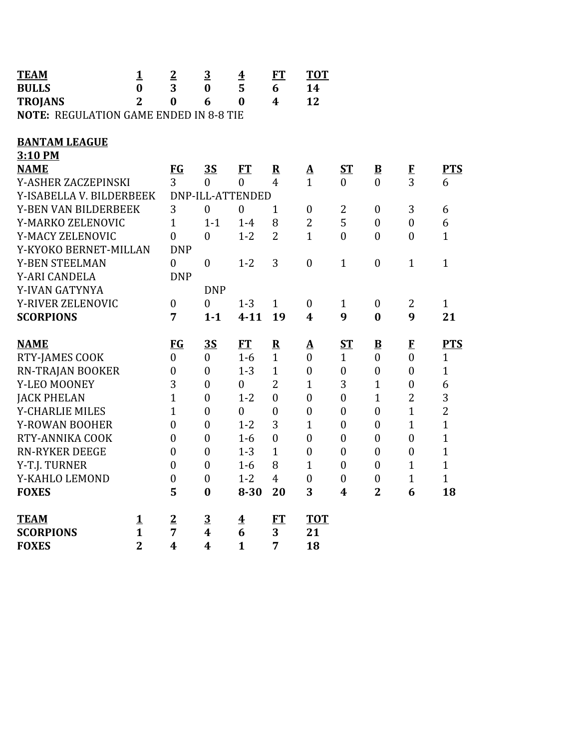| <b>TEAM</b>                                   | $\mathbf{1}$   | $\overline{2}$   | $\overline{3}$          | $\overline{\textbf{4}}$ | FT               | <b>TOT</b>       |                  |                         |                            |                |
|-----------------------------------------------|----------------|------------------|-------------------------|-------------------------|------------------|------------------|------------------|-------------------------|----------------------------|----------------|
| <b>BULLS</b>                                  | $\bf{0}$       | 3                | $\bf{0}$                | 5                       | 6                | 14               |                  |                         |                            |                |
| <b>TROJANS</b>                                | $\overline{2}$ | $\bf{0}$         | 6                       | $\bf{0}$                | 4                | 12               |                  |                         |                            |                |
| <b>NOTE: REGULATION GAME ENDED IN 8-8 TIE</b> |                |                  |                         |                         |                  |                  |                  |                         |                            |                |
|                                               |                |                  |                         |                         |                  |                  |                  |                         |                            |                |
| <b>BANTAM LEAGUE</b>                          |                |                  |                         |                         |                  |                  |                  |                         |                            |                |
| 3:10 PM                                       |                |                  |                         |                         |                  |                  |                  |                         |                            |                |
| <b>NAME</b>                                   |                | FG               | 3S                      | FT                      | ${\bf R}$        | $\Delta$         | $S_{\mathbf{T}}$ | $\overline{\mathbf{B}}$ | $\bf{F}$<br>$\overline{3}$ | <b>PTS</b>     |
| Y-ASHER ZACZEPINSKI                           |                | 3                | $\overline{0}$          | $\mathbf{0}$            | $\overline{4}$   | $\mathbf{1}$     | $\theta$         | $\theta$                |                            | 6              |
| Y-ISABELLA V. BILDERBEEK                      |                |                  |                         | DNP-ILL-ATTENDED        |                  |                  |                  |                         |                            |                |
| Y-BEN VAN BILDERBEEK                          |                | 3                | $\boldsymbol{0}$        | $\boldsymbol{0}$        | $\mathbf{1}$     | $\boldsymbol{0}$ | $\overline{2}$   | $\boldsymbol{0}$        | 3                          | 6              |
| Y-MARKO ZELENOVIC                             |                | $\mathbf{1}$     | $1 - 1$                 | $1-4$                   | 8                | $\overline{2}$   | 5                | $\boldsymbol{0}$        | $\boldsymbol{0}$           | 6              |
| Y-MACY ZELENOVIC                              |                | $\boldsymbol{0}$ | $\mathbf{0}$            | $1 - 2$                 | $\overline{2}$   | $\mathbf{1}$     | $\overline{0}$   | $\boldsymbol{0}$        | $\boldsymbol{0}$           | $\mathbf{1}$   |
| Y-KYOKO BERNET-MILLAN                         |                | <b>DNP</b>       |                         |                         |                  |                  |                  |                         |                            |                |
| <b>Y-BEN STEELMAN</b>                         |                | $\boldsymbol{0}$ | $\boldsymbol{0}$        | $1 - 2$                 | 3                | $\boldsymbol{0}$ | $\mathbf{1}$     | $\boldsymbol{0}$        | $\mathbf{1}$               | $\mathbf{1}$   |
| Y-ARI CANDELA                                 |                | <b>DNP</b>       |                         |                         |                  |                  |                  |                         |                            |                |
| Y-IVAN GATYNYA                                |                |                  | <b>DNP</b>              |                         |                  |                  |                  |                         |                            |                |
| Y-RIVER ZELENOVIC                             |                | $\boldsymbol{0}$ | $\boldsymbol{0}$        | $1 - 3$                 | $\mathbf{1}$     | $\boldsymbol{0}$ | $\mathbf{1}$     | $\boldsymbol{0}$        | 2                          | $\mathbf{1}$   |
| <b>SCORPIONS</b>                              |                | $\overline{7}$   | $1 - 1$                 | $4 - 11$                | 19               | $\boldsymbol{4}$ | 9                | $\bf{0}$                | 9                          | 21             |
| <b>NAME</b>                                   |                | FG               | 3S                      | <b>FT</b>               | $\mathbf R$      | $\mathbf A$      | $S_{1}$          | $\bf{B}$                | $\mathbf{F}$               | <b>PTS</b>     |
| RTY-JAMES COOK                                |                | $\boldsymbol{0}$ | $\boldsymbol{0}$        | $1-6$                   | $\mathbf{1}$     | $\boldsymbol{0}$ | $\mathbf{1}$     | $\boldsymbol{0}$        | $\boldsymbol{0}$           | $\mathbf{1}$   |
| RN-TRAJAN BOOKER                              |                | $\boldsymbol{0}$ | $\boldsymbol{0}$        | $1 - 3$                 | $\mathbf{1}$     | $\boldsymbol{0}$ | $\boldsymbol{0}$ | $\boldsymbol{0}$        | $\boldsymbol{0}$           | $\overline{1}$ |
| Y-LEO MOONEY                                  |                | 3                | $\boldsymbol{0}$        | $\boldsymbol{0}$        | $\overline{2}$   | $\mathbf{1}$     | 3                | $\mathbf{1}$            | $\boldsymbol{0}$           | 6              |
| <b>JACK PHELAN</b>                            |                | $\mathbf{1}$     | $\boldsymbol{0}$        | $1 - 2$                 | $\theta$         | $\boldsymbol{0}$ | $\boldsymbol{0}$ | $\mathbf{1}$            | $\overline{2}$             | 3              |
| <b>Y-CHARLIE MILES</b>                        |                | $\mathbf{1}$     | $\boldsymbol{0}$        | $\overline{0}$          | $\boldsymbol{0}$ | $\boldsymbol{0}$ | $\overline{0}$   | $\boldsymbol{0}$        | $\mathbf{1}$               | $\overline{2}$ |
| Y-ROWAN BOOHER                                |                | $\overline{0}$   | $\boldsymbol{0}$        | $1 - 2$                 | 3                | $\mathbf{1}$     | $\boldsymbol{0}$ | $\boldsymbol{0}$        | $\mathbf{1}$               | $\mathbf{1}$   |
| RTY-ANNIKA COOK                               |                | $\boldsymbol{0}$ | $\boldsymbol{0}$        | $1-6$                   | $\theta$         | $\boldsymbol{0}$ | $\boldsymbol{0}$ | $\boldsymbol{0}$        | $\boldsymbol{0}$           | $\mathbf{1}$   |
| <b>RN-RYKER DEEGE</b>                         |                | $\overline{0}$   | $\boldsymbol{0}$        | $1 - 3$                 | $\mathbf{1}$     | $\boldsymbol{0}$ | $\boldsymbol{0}$ | $\boldsymbol{0}$        | $\boldsymbol{0}$           | $\overline{1}$ |
| Y-T.J. TURNER                                 |                | $\boldsymbol{0}$ | $\boldsymbol{0}$        | $1-6$                   | 8                | $\mathbf{1}$     | $\mathbf{0}$     | $\boldsymbol{0}$        | $\mathbf{1}$               | $\mathbf{1}$   |
| Y-KAHLO LEMOND                                |                | $\boldsymbol{0}$ | $\boldsymbol{0}$        | $1 - 2$                 | $\overline{4}$   | $\overline{0}$   | $\boldsymbol{0}$ | $\boldsymbol{0}$        | $\mathbf{1}$               | $\mathbf{1}$   |
| <b>FOXES</b>                                  |                | 5                | $\bf{0}$                | $8 - 30$                | 20               | 3                | 4                | $\overline{2}$          | 6                          | 18             |
|                                               |                |                  |                         |                         |                  |                  |                  |                         |                            |                |
| <b>TEAM</b>                                   | 1              | $\overline{2}$   | $\overline{3}$          | $\overline{\mathbf{4}}$ | FT               | <b>TOT</b>       |                  |                         |                            |                |
| <b>SCORPIONS</b>                              | $\mathbf{1}$   | $\overline{7}$   | $\boldsymbol{4}$        | 6                       | 3                | 21               |                  |                         |                            |                |
| <b>FOXES</b>                                  | $\overline{2}$ | $\boldsymbol{4}$ | $\overline{\mathbf{4}}$ | $\mathbf{1}$            | 7                | 18               |                  |                         |                            |                |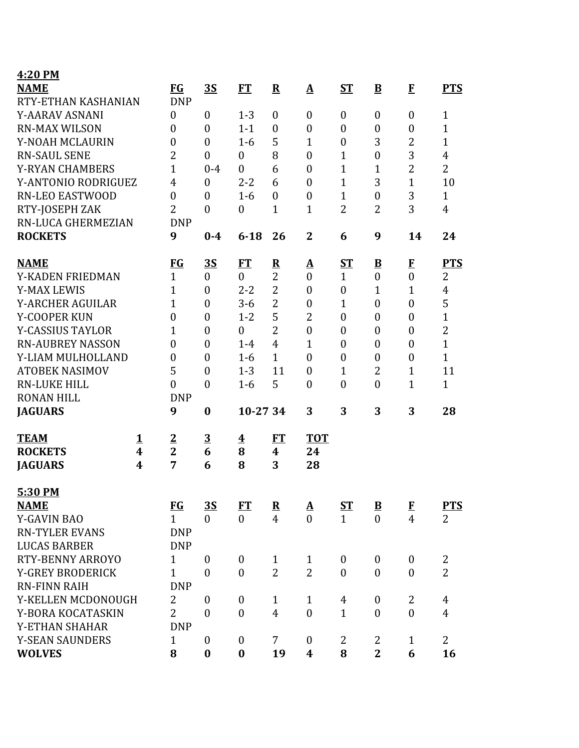| 4:20 PM                 |   |                  |                  |                         |                         |                          |                  |                         |                  |                |
|-------------------------|---|------------------|------------------|-------------------------|-------------------------|--------------------------|------------------|-------------------------|------------------|----------------|
| <b>NAME</b>             |   | FG               | <u>3S</u>        | <b>FT</b>               | ${\bf R}$               | $\mathbf{\underline{A}}$ | <b>ST</b>        | $\bf{B}$                | $\bf{F}$         | <b>PTS</b>     |
| RTY-ETHAN KASHANIAN     |   | <b>DNP</b>       |                  |                         |                         |                          |                  |                         |                  |                |
| Y-AARAV ASNANI          |   | $\boldsymbol{0}$ | $\boldsymbol{0}$ | $1 - 3$                 | $\boldsymbol{0}$        | $\boldsymbol{0}$         | $\boldsymbol{0}$ | $\boldsymbol{0}$        | $\boldsymbol{0}$ | 1              |
| <b>RN-MAX WILSON</b>    |   | $\boldsymbol{0}$ | $\theta$         | $1 - 1$                 | $\boldsymbol{0}$        | $\boldsymbol{0}$         | $\boldsymbol{0}$ | $\boldsymbol{0}$        | $\boldsymbol{0}$ | $\mathbf{1}$   |
| Y-NOAH MCLAURIN         |   | 0                | $\overline{0}$   | $1 - 6$                 | 5                       | $\mathbf{1}$             | $\boldsymbol{0}$ | 3                       | $\overline{2}$   | $\overline{1}$ |
| <b>RN-SAUL SENE</b>     |   | $\overline{2}$   | $\theta$         | $\mathbf{0}$            | 8                       | $\boldsymbol{0}$         | $\mathbf{1}$     | $\boldsymbol{0}$        | 3                | $\overline{4}$ |
| <b>Y-RYAN CHAMBERS</b>  |   | $\overline{1}$   | $0 - 4$          | $\mathbf{0}$            | 6                       | $\overline{0}$           | $\mathbf{1}$     | $\mathbf{1}$            | $\overline{2}$   | $\overline{2}$ |
| Y-ANTONIO RODRIGUEZ     |   | $\overline{4}$   | $\boldsymbol{0}$ | $2 - 2$                 | 6                       | $\boldsymbol{0}$         | $\mathbf{1}$     | 3                       | $\mathbf{1}$     | 10             |
| <b>RN-LEO EASTWOOD</b>  |   | $\boldsymbol{0}$ | $\boldsymbol{0}$ | $1 - 6$                 | $\boldsymbol{0}$        | $\boldsymbol{0}$         | $\mathbf{1}$     | $\boldsymbol{0}$        | 3                | $\mathbf{1}$   |
| RTY-JOSEPH ZAK          |   | $\overline{2}$   | $\overline{0}$   | $\boldsymbol{0}$        | $\mathbf{1}$            | $\mathbf{1}$             | $\overline{2}$   | $\overline{2}$          | 3                | $\overline{4}$ |
| RN-LUCA GHERMEZIAN      |   | <b>DNP</b>       |                  |                         |                         |                          |                  |                         |                  |                |
| <b>ROCKETS</b>          |   | 9                | $0 - 4$          | $6 - 18$                | 26                      | $\mathbf{2}$             | 6                | 9                       | 14               | 24             |
| <b>NAME</b>             |   | $FG$             | <u>3S</u>        | FT                      | $\overline{\mathbf{R}}$ | <u>A</u>                 | $S_{\rm T}$      | $\overline{\mathbf{B}}$ | $\bf{F}$         | <b>PTS</b>     |
| Y-KADEN FRIEDMAN        |   | $\mathbf{1}$     | $\boldsymbol{0}$ | $\mathbf{0}$            | $\overline{2}$          | $\mathbf{0}$             | $\mathbf{1}$     | $\boldsymbol{0}$        | $\overline{0}$   | 2              |
| <b>Y-MAX LEWIS</b>      |   | $\mathbf{1}$     | $\boldsymbol{0}$ | $2 - 2$                 | $\overline{2}$          | $\boldsymbol{0}$         | $\boldsymbol{0}$ | $\mathbf{1}$            | $\mathbf{1}$     | 4              |
| <b>Y-ARCHER AGUILAR</b> |   | $\mathbf{1}$     | $\overline{0}$   | $3 - 6$                 | $\overline{2}$          | $\boldsymbol{0}$         | $\mathbf{1}$     | $\boldsymbol{0}$        | $\boldsymbol{0}$ | 5              |
| Y-COOPER KUN            |   | $\boldsymbol{0}$ | $\boldsymbol{0}$ | $1 - 2$                 | 5                       | 2                        | $\boldsymbol{0}$ | $\boldsymbol{0}$        | $\boldsymbol{0}$ | $\mathbf{1}$   |
| <b>Y-CASSIUS TAYLOR</b> |   | $\overline{1}$   | $\overline{0}$   | $\boldsymbol{0}$        | $\overline{2}$          | $\boldsymbol{0}$         | $\boldsymbol{0}$ | $\boldsymbol{0}$        | $\boldsymbol{0}$ | $\overline{2}$ |
| <b>RN-AUBREY NASSON</b> |   | $\boldsymbol{0}$ | $\boldsymbol{0}$ | $1-4$                   | $\overline{4}$          | $\mathbf{1}$             | $\boldsymbol{0}$ | $\boldsymbol{0}$        | $\boldsymbol{0}$ | $\mathbf{1}$   |
| Y-LIAM MULHOLLAND       |   | $\overline{0}$   | $\theta$         | $1-6$                   | $\mathbf{1}$            | $\boldsymbol{0}$         | $\overline{0}$   | $\boldsymbol{0}$        | $\mathbf{0}$     | $\mathbf{1}$   |
| <b>ATOBEK NASIMOV</b>   |   | 5                | $\theta$         | $1 - 3$                 | 11                      | $\boldsymbol{0}$         | $\mathbf{1}$     | $\overline{2}$          | $\mathbf{1}$     | 11             |
| <b>RN-LUKE HILL</b>     |   | $\boldsymbol{0}$ | $\theta$         | $1-6$                   | 5                       | $\boldsymbol{0}$         | $\boldsymbol{0}$ | $\boldsymbol{0}$        | $\mathbf{1}$     | $\mathbf{1}$   |
| <b>RONAN HILL</b>       |   | <b>DNP</b>       |                  |                         |                         |                          |                  |                         |                  |                |
| <b>JAGUARS</b>          |   | 9                | $\bf{0}$         | 10-27 34                |                         | 3                        | 3                | 3                       | 3                | 28             |
| <b>TEAM</b>             | 1 | $\overline{2}$   | $\overline{3}$   | $\overline{\mathbf{4}}$ | FT                      | <b>TOT</b>               |                  |                         |                  |                |
| <b>ROCKETS</b>          | 4 | $\overline{2}$   | 6                | 8                       | $\boldsymbol{4}$        | 24                       |                  |                         |                  |                |
| <b>JAGUARS</b>          | 4 | 7                | 6                | 8                       | 3                       | 28                       |                  |                         |                  |                |
| 5:30 PM                 |   |                  |                  |                         |                         |                          |                  |                         |                  |                |
| <b>NAME</b>             |   | <b>FG</b>        | <u>35</u>        | <b>FT</b>               | ${\bf R}$               | $\mathbf{\underline{A}}$ | ST               | $\mathbf{B}$            | $\bf{F}$         | <b>PTS</b>     |
| <b>Y-GAVIN BAO</b>      |   | $\mathbf{1}$     | $\overline{0}$   | $\theta$                | $\overline{4}$          | $\theta$                 | $\mathbf{1}$     | $\overline{0}$          | $\overline{4}$   | $\overline{2}$ |
| <b>RN-TYLER EVANS</b>   |   | <b>DNP</b>       |                  |                         |                         |                          |                  |                         |                  |                |
| <b>LUCAS BARBER</b>     |   | <b>DNP</b>       |                  |                         |                         |                          |                  |                         |                  |                |
| RTY-BENNY ARROYO        |   | $\mathbf{1}$     | $\boldsymbol{0}$ | $\boldsymbol{0}$        | $\mathbf{1}$            | $\mathbf{1}$             | $\boldsymbol{0}$ | $\boldsymbol{0}$        | $\mathbf{0}$     | $\overline{2}$ |
| <b>Y-GREY BRODERICK</b> |   | $\mathbf{1}$     | $\boldsymbol{0}$ | $\mathbf{0}$            | $\overline{2}$          | $\overline{2}$           | $\boldsymbol{0}$ | $\boldsymbol{0}$        | $\mathbf{0}$     | $\overline{2}$ |
| <b>RN-FINN RAIH</b>     |   | <b>DNP</b>       |                  |                         |                         |                          |                  |                         |                  |                |
| Y-KELLEN MCDONOUGH      |   | $\overline{2}$   | $\theta$         | $\boldsymbol{0}$        | $\mathbf{1}$            | $\mathbf{1}$             | 4                | $\boldsymbol{0}$        | $\overline{2}$   | $\overline{4}$ |
| Y-BORA KOCATASKIN       |   | $\overline{2}$   | $\boldsymbol{0}$ | $\mathbf{0}$            | $\overline{4}$          | $\boldsymbol{0}$         | $\mathbf{1}$     | $\boldsymbol{0}$        | $\overline{0}$   | $\overline{4}$ |
| Y-ETHAN SHAHAR          |   | <b>DNP</b>       |                  |                         |                         |                          |                  |                         |                  |                |
| <b>Y-SEAN SAUNDERS</b>  |   | $\mathbf{1}$     | $\boldsymbol{0}$ | $\boldsymbol{0}$        | 7                       | $\boldsymbol{0}$         | $\overline{2}$   | 2                       | $\mathbf{1}$     | $\overline{2}$ |
| <b>WOLVES</b>           |   | 8                | $\boldsymbol{0}$ | $\boldsymbol{0}$        | 19                      | 4                        | 8                | $\overline{2}$          | 6                | 16             |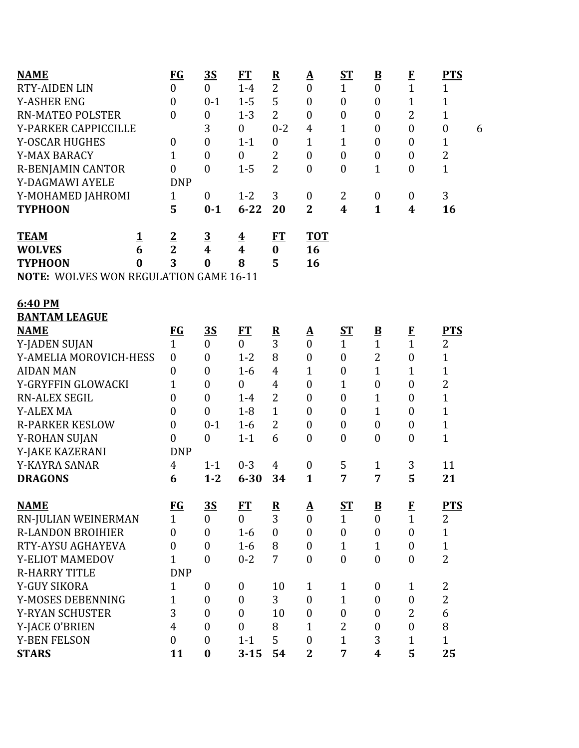| <b>NAME</b>                                   |          | $FG$             | <u>35</u>               | <b>FT</b>               | $\overline{\mathbf{R}}$ | <u>A</u>         | $S_{\rm T}$      | $\underline{\mathbf{B}}$ | $\bf{F}$         | <b>PTS</b>            |
|-----------------------------------------------|----------|------------------|-------------------------|-------------------------|-------------------------|------------------|------------------|--------------------------|------------------|-----------------------|
| <b>RTY-AIDEN LIN</b>                          |          | $\overline{0}$   | $\overline{0}$          | $1-4$                   | $\overline{2}$          | $\boldsymbol{0}$ | $\mathbf{1}$     | $\boldsymbol{0}$         | $\mathbf{1}$     | $\mathbf{1}$          |
| <b>Y-ASHER ENG</b>                            |          | $\boldsymbol{0}$ | $0 - 1$                 | $1 - 5$                 | 5                       | $\boldsymbol{0}$ | $\boldsymbol{0}$ | $\overline{0}$           | $\mathbf{1}$     | $\mathbf{1}$          |
| <b>RN-MATEO POLSTER</b>                       |          | $\overline{0}$   | $\boldsymbol{0}$        | $1 - 3$                 | $\overline{2}$          | $\boldsymbol{0}$ | $\boldsymbol{0}$ | $\boldsymbol{0}$         | $\overline{2}$   | $\mathbf{1}$          |
| Y-PARKER CAPPICCILLE                          |          |                  | 3                       | $\boldsymbol{0}$        | $0 - 2$                 | $\overline{4}$   | $\mathbf{1}$     | $\overline{0}$           | $\mathbf{0}$     | $\boldsymbol{0}$<br>6 |
| <b>Y-OSCAR HUGHES</b>                         |          | $\boldsymbol{0}$ | $\overline{0}$          | $1 - 1$                 | $\mathbf{0}$            | $\mathbf{1}$     | $\mathbf{1}$     | $\overline{0}$           | $\boldsymbol{0}$ | $\mathbf 1$           |
| Y-MAX BARACY                                  |          | $\mathbf{1}$     | $\boldsymbol{0}$        | $\boldsymbol{0}$        | $\overline{2}$          | $\boldsymbol{0}$ | $\boldsymbol{0}$ | $\boldsymbol{0}$         | $\boldsymbol{0}$ | $\overline{2}$        |
| R-BENJAMIN CANTOR                             |          | $\boldsymbol{0}$ | $\overline{0}$          | $1 - 5$                 | $\overline{2}$          | $\boldsymbol{0}$ | $\boldsymbol{0}$ | $\mathbf{1}$             | $\boldsymbol{0}$ | $\mathbf{1}$          |
| Y-DAGMAWI AYELE                               |          | <b>DNP</b>       |                         |                         |                         |                  |                  |                          |                  |                       |
| Y-MOHAMED JAHROMI                             |          | $\mathbf{1}$     | $\boldsymbol{0}$        | $1 - 2$                 | 3                       | $\boldsymbol{0}$ | 2                | $\boldsymbol{0}$         | $\boldsymbol{0}$ | 3                     |
| <b>TYPHOON</b>                                |          | 5                | $0 - 1$                 | $6 - 22$                | 20                      | $\overline{2}$   | 4                | $\mathbf{1}$             | 4                | 16                    |
| <b>TEAM</b>                                   | <u>1</u> | $\overline{2}$   | $\overline{3}$          | $\overline{\mathbf{4}}$ | <u>FT</u>               | <b>TOT</b>       |                  |                          |                  |                       |
| <b>WOLVES</b>                                 | 6        | $\overline{2}$   | $\overline{\mathbf{4}}$ | $\overline{\mathbf{4}}$ | $\bf{0}$                | 16               |                  |                          |                  |                       |
| <b>TYPHOON</b>                                | $\bf{0}$ | 3                | $\bf{0}$                | 8                       | 5                       | 16               |                  |                          |                  |                       |
| <b>NOTE: WOLVES WON REGULATION GAME 16-11</b> |          |                  |                         |                         |                         |                  |                  |                          |                  |                       |
|                                               |          |                  |                         |                         |                         |                  |                  |                          |                  |                       |
| 6:40 PM                                       |          |                  |                         |                         |                         |                  |                  |                          |                  |                       |
| <b>BANTAM LEAGUE</b>                          |          |                  |                         |                         |                         |                  |                  |                          |                  |                       |
| <b>NAME</b>                                   |          | $FG$             | <u>35</u>               | FT                      | ${\bf R}$               | <u>A</u>         | $S_{\rm T}$      | $\underline{\mathbf{B}}$ | $\bf{F}$         | <b>PTS</b>            |
| Y-JADEN SUJAN                                 |          | $\mathbf{1}$     | $\boldsymbol{0}$        | $\overline{0}$          | 3                       | $\overline{0}$   | $\mathbf{1}$     | $\mathbf{1}$             | $\mathbf{1}$     | $\overline{2}$        |
| Y-AMELIA MOROVICH-HESS                        |          | $\overline{0}$   | $\boldsymbol{0}$        | $1 - 2$                 | 8                       | $\boldsymbol{0}$ | $\boldsymbol{0}$ | $\overline{2}$           | $\boldsymbol{0}$ | $\mathbf{1}$          |
| <b>AIDAN MAN</b>                              |          | 0                | $\boldsymbol{0}$        | $1-6$                   | $\overline{4}$          | $\mathbf{1}$     | $\boldsymbol{0}$ | $\mathbf{1}$             | $\mathbf 1$      | 1                     |
| Y-GRYFFIN GLOWACKI                            |          | $\mathbf{1}$     | $\boldsymbol{0}$        | $\boldsymbol{0}$        | $\overline{4}$          | $\boldsymbol{0}$ | $\mathbf{1}$     | $\boldsymbol{0}$         | $\boldsymbol{0}$ | $\overline{c}$        |
| RN-ALEX SEGIL                                 |          | $\overline{0}$   | $\boldsymbol{0}$        | $1 - 4$                 | $\overline{2}$          | $\boldsymbol{0}$ | $\boldsymbol{0}$ | $\mathbf{1}$             | $\boldsymbol{0}$ | $\mathbf{1}$          |
| <b>Y-ALEX MA</b>                              |          | $\overline{0}$   | $\overline{0}$          | $1 - 8$                 | $\mathbf 1$             | $\boldsymbol{0}$ | $\boldsymbol{0}$ | $\mathbf{1}$             | $\boldsymbol{0}$ | $\mathbf{1}$          |
| <b>R-PARKER KESLOW</b>                        |          | $\boldsymbol{0}$ | $0 - 1$                 | $1 - 6$                 | 2                       | $\boldsymbol{0}$ | $\boldsymbol{0}$ | $\boldsymbol{0}$         | $\boldsymbol{0}$ | $\mathbf{1}$          |
| Y-ROHAN SUJAN                                 |          | $\boldsymbol{0}$ | $\overline{0}$          | $1 - 1$                 | 6                       | $\boldsymbol{0}$ | $\boldsymbol{0}$ | $\boldsymbol{0}$         | $\boldsymbol{0}$ | $\mathbf{1}$          |
| Y-JAKE KAZERANI                               |          | <b>DNP</b>       |                         |                         |                         |                  |                  |                          |                  |                       |
| Y-KAYRA SANAR                                 |          | $\overline{4}$   | $1 - 1$                 | $0 - 3$                 | 4                       | $\boldsymbol{0}$ | 5                | $\mathbf{1}$             | 3                | 11                    |
| <b>DRAGONS</b>                                |          | 6                | $1 - 2$                 | $6 - 30$                | 34                      | $\mathbf{1}$     | 7                | 7                        | 5                | 21                    |
| <b>NAME</b>                                   |          | $FG$             | <u>3S</u>               | ET                      | $\overline{\mathbf{R}}$ | <u>A</u>         | <u>ST</u>        | $\overline{\mathbf{B}}$  | $\bf{F}$         | <b>PTS</b>            |
| RN-JULIAN WEINERMAN                           |          | $\mathbf{1}$     | $\boldsymbol{0}$        | $\overline{0}$          | 3                       | $\boldsymbol{0}$ | $\mathbf{1}$     | $\mathbf{0}$             | $\mathbf{1}$     | $\overline{2}$        |
| <b>R-LANDON BROIHIER</b>                      |          | $\boldsymbol{0}$ | $\mathbf{0}$            | $1 - 6$                 | $\mathbf{0}$            | $\mathbf{0}$     | $\boldsymbol{0}$ | $\mathbf{0}$             | $\overline{0}$   | $\mathbf 1$           |
| RTY-AYSU AGHAYEVA                             |          | 0                | $\boldsymbol{0}$        | $1-6$                   | 8                       | $\boldsymbol{0}$ | $\mathbf{1}$     | $\mathbf{1}$             | $\boldsymbol{0}$ | $\mathbf{1}$          |
| Y-ELIOT MAMEDOV                               |          | 1                | $\boldsymbol{0}$        | $0 - 2$                 | 7                       | $\boldsymbol{0}$ | $\boldsymbol{0}$ | $\boldsymbol{0}$         | $\boldsymbol{0}$ | $\overline{2}$        |
| <b>R-HARRY TITLE</b>                          |          | <b>DNP</b>       |                         |                         |                         |                  |                  |                          |                  |                       |
| <b>Y-GUY SIKORA</b>                           |          | $\mathbf{1}$     | $\boldsymbol{0}$        | $\boldsymbol{0}$        | 10                      | $\mathbf{1}$     | $\mathbf{1}$     | $\boldsymbol{0}$         | $\mathbf{1}$     | 2                     |
| Y-MOSES DEBENNING                             |          | $\mathbf{1}$     | $\mathbf{0}$            | $\boldsymbol{0}$        | 3                       | $\mathbf{0}$     | $\mathbf{1}$     | $\boldsymbol{0}$         | $\boldsymbol{0}$ | $\overline{2}$        |
| <b>Y-RYAN SCHUSTER</b>                        |          | 3                | $\boldsymbol{0}$        | $\boldsymbol{0}$        | 10                      | $\boldsymbol{0}$ | $\boldsymbol{0}$ | $\mathbf{0}$             | 2                | 6                     |
| Y-JACE O'BRIEN                                |          | $\overline{4}$   | $\boldsymbol{0}$        | $\boldsymbol{0}$        | 8                       | $\mathbf{1}$     | $\overline{2}$   | $\overline{0}$           | $\boldsymbol{0}$ | 8                     |
| <b>Y-BEN FELSON</b>                           |          | $\overline{0}$   | $\boldsymbol{0}$        | $1 - 1$                 | 5                       | $\boldsymbol{0}$ | $\mathbf{1}$     | 3                        | $\mathbf{1}$     | $\mathbf{1}$          |
| <b>STARS</b>                                  |          | 11               | $\bf{0}$                | $3 - 15$                | 54                      | $\overline{2}$   | 7                | 4                        | 5                | 25                    |